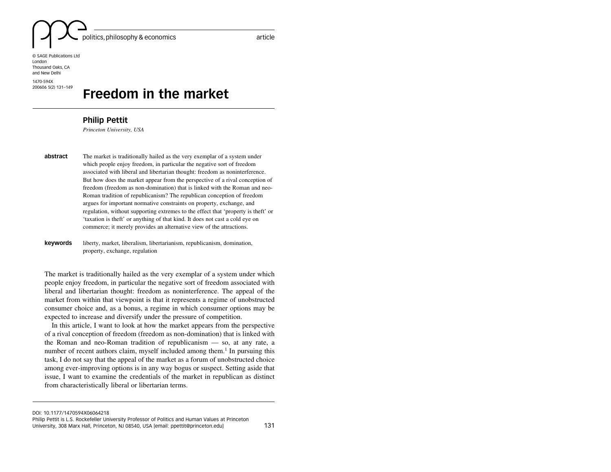

© SAGE Publications Ltd London Thousand Oaks, CA and New Delhi

1470-594X 200606 5(2) 131–149

# **Freedom in the market**

## **Philip Pettit**

*Princeton University, USA*

**abstract** The market is traditionally hailed as the very exemplar of a system under which people enjoy freedom, in particular the negative sort of freedom associated with liberal and libertarian thought: freedom as noninterference. But how does the market appear from the perspective of a rival conception of freedom (freedom as non-domination) that is linked with the Roman and neo-Roman tradition of republicanism? The republican conception of freedom argues for important normative constraints on property, exchange, and regulation, without supporting extremes to the effect that 'property is theft' or 'taxation is theft' or anything of that kind. It does not cast a cold eye on commerce; it merely provides an alternative view of the attractions.

**keywords** liberty, market, liberalism, libertarianism, republicanism, domination, property, exchange, regulation

The market is traditionally hailed as the very exemplar of a system under which people enjoy freedom, in particular the negative sort of freedom associated with liberal and libertarian thought: freedom as noninterference. The appeal of the market from within that viewpoint is that it represents a regime of unobstructed consumer choice and, as a bonus, a regime in which consumer options may be expected to increase and diversify under the pressure of competition.

In this article, I want to look at how the market appears from the perspective of a rival conception of freedom (freedom as non-domination) that is linked with the Roman and neo-Roman tradition of republicanism — so, at any rate, a number of recent authors claim, myself included among them.<sup>1</sup> In pursuing this task, I do not say that the appeal of the market as a forum of unobstructed choice among ever-improving options is in any way bogus or suspect. Setting aside that issue, I want to examine the credentials of the market in republican as distinct from characteristically liberal or libertarian terms.

DOI: 10.1177/1470594X06064218

Philip Pettit is L.S. Rockefeller University Professor of Politics and Human Values at Princeton University, 308 Marx Hall, Princeton, NJ 08540, USA [email: ppettit@princeton.edu] 131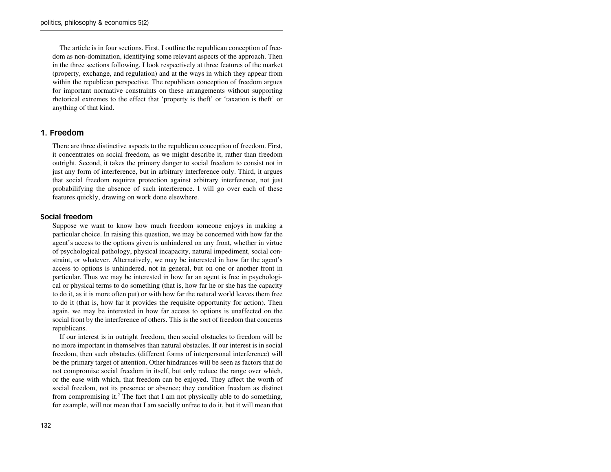The article is in four sections. First, I outline the republican conception of freedom as non-domination, identifying some relevant aspects of the approach. Then in the three sections following, I look respectively at three features of the market (property, exchange, and regulation) and at the ways in which they appear from within the republican perspective. The republican conception of freedom argues for important normative constraints on these arrangements without supporting rhetorical extremes to the effect that 'property is theft' or 'taxation is theft' or anything of that kind.

## **1. Freedom**

There are three distinctive aspects to the republican conception of freedom. First, it concentrates on social freedom, as we might describe it, rather than freedom outright. Second, it takes the primary danger to social freedom to consist not in just any form of interference, but in arbitrary interference only. Third, it argues that social freedom requires protection against arbitrary interference, not just probabilifying the absence of such interference. I will go over each of these features quickly, drawing on work done elsewhere.

### **Social freedom**

Suppose we want to know how much freedom someone enjoys in making a particular choice. In raising this question, we may be concerned with how far the agent's access to the options given is unhindered on any front, whether in virtue of psychological pathology, physical incapacity, natural impediment, social constraint, or whatever. Alternatively, we may be interested in how far the agent's access to options is unhindered, not in general, but on one or another front in particular. Thus we may be interested in how far an agent is free in psychological or physical terms to do something (that is, how far he or she has the capacity to do it, as it is more often put) or with how far the natural world leaves them free to do it (that is, how far it provides the requisite opportunity for action). Then again, we may be interested in how far access to options is unaffected on the social front by the interference of others. This is the sort of freedom that concerns republicans.

If our interest is in outright freedom, then social obstacles to freedom will be no more important in themselves than natural obstacles. If our interest is in social freedom, then such obstacles (different forms of interpersonal interference) will be the primary target of attention. Other hindrances will be seen as factors that do not compromise social freedom in itself, but only reduce the range over which, or the ease with which, that freedom can be enjoyed. They affect the worth of social freedom, not its presence or absence; they condition freedom as distinct from compromising it.<sup>2</sup> The fact that I am not physically able to do something, for example, will not mean that I am socially unfree to do it, but it will mean that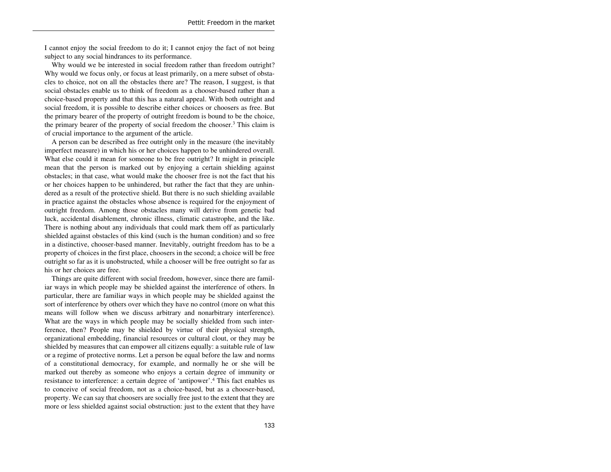I cannot enjoy the social freedom to do it; I cannot enjoy the fact of not being subject to any social hindrances to its performance.

Why would we be interested in social freedom rather than freedom outright? Why would we focus only, or focus at least primarily, on a mere subset of obstacles to choice, not on all the obstacles there are? The reason, I suggest, is that social obstacles enable us to think of freedom as a chooser-based rather than a choice-based property and that this has a natural appeal. With both outright and social freedom, it is possible to describe either choices or choosers as free. But the primary bearer of the property of outright freedom is bound to be the choice, the primary bearer of the property of social freedom the chooser.<sup>3</sup> This claim is of crucial importance to the argument of the article.

A person can be described as free outright only in the measure (the inevitably imperfect measure) in which his or her choices happen to be unhindered overall. What else could it mean for someone to be free outright? It might in principle mean that the person is marked out by enjoying a certain shielding against obstacles; in that case, what would make the chooser free is not the fact that his or her choices happen to be unhindered, but rather the fact that they are unhindered as a result of the protective shield. But there is no such shielding available in practice against the obstacles whose absence is required for the enjoyment of outright freedom. Among those obstacles many will derive from genetic bad luck, accidental disablement, chronic illness, climatic catastrophe, and the like. There is nothing about any individuals that could mark them off as particularly shielded against obstacles of this kind (such is the human condition) and so free in a distinctive, chooser-based manner. Inevitably, outright freedom has to be a property of choices in the first place, choosers in the second; a choice will be free outright so far as it is unobstructed, while a chooser will be free outright so far as his or her choices are free.

Things are quite different with social freedom, however, since there are familiar ways in which people may be shielded against the interference of others. In particular, there are familiar ways in which people may be shielded against the sort of interference by others over which they have no control (more on what this means will follow when we discuss arbitrary and nonarbitrary interference). What are the ways in which people may be socially shielded from such interference, then? People may be shielded by virtue of their physical strength, organizational embedding, financial resources or cultural clout, or they may be shielded by measures that can empower all citizens equally: a suitable rule of law or a regime of protective norms. Let a person be equal before the law and norms of a constitutional democracy, for example, and normally he or she will be marked out thereby as someone who enjoys a certain degree of immunity or resistance to interference: a certain degree of 'antipower'.4 This fact enables us to conceive of social freedom, not as a choice-based, but as a chooser-based, property. We can say that choosers are socially free just to the extent that they are more or less shielded against social obstruction: just to the extent that they have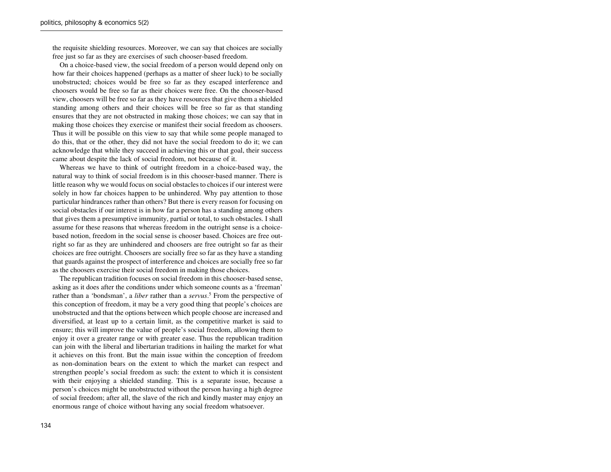the requisite shielding resources. Moreover, we can say that choices are socially free just so far as they are exercises of such chooser-based freedom.

On a choice-based view, the social freedom of a person would depend only on how far their choices happened (perhaps as a matter of sheer luck) to be socially unobstructed; choices would be free so far as they escaped interference and choosers would be free so far as their choices were free. On the chooser-based view, choosers will be free so far as they have resources that give them a shielded standing among others and their choices will be free so far as that standing ensures that they are not obstructed in making those choices; we can say that in making those choices they exercise or manifest their social freedom as choosers. Thus it will be possible on this view to say that while some people managed to do this, that or the other, they did not have the social freedom to do it; we can acknowledge that while they succeed in achieving this or that goal, their success came about despite the lack of social freedom, not because of it.

Whereas we have to think of outright freedom in a choice-based way, the natural way to think of social freedom is in this chooser-based manner. There is little reason why we would focus on social obstacles to choices if our interest were solely in how far choices happen to be unhindered. Why pay attention to those particular hindrances rather than others? But there is every reason for focusing on social obstacles if our interest is in how far a person has a standing among others that gives them a presumptive immunity, partial or total, to such obstacles. I shall assume for these reasons that whereas freedom in the outright sense is a choicebased notion, freedom in the social sense is chooser based. Choices are free outright so far as they are unhindered and choosers are free outright so far as their choices are free outright. Choosers are socially free so far as they have a standing that guards against the prospect of interference and choices are socially free so far as the choosers exercise their social freedom in making those choices.

The republican tradition focuses on social freedom in this chooser-based sense, asking as it does after the conditions under which someone counts as a 'freeman' rather than a 'bondsman', a *liber* rather than a *servus*. <sup>5</sup> From the perspective of this conception of freedom, it may be a very good thing that people's choices are unobstructed and that the options between which people choose are increased and diversified, at least up to a certain limit, as the competitive market is said to ensure; this will improve the value of people's social freedom, allowing them to enjoy it over a greater range or with greater ease. Thus the republican tradition can join with the liberal and libertarian traditions in hailing the market for what it achieves on this front. But the main issue within the conception of freedom as non-domination bears on the extent to which the market can respect and strengthen people's social freedom as such: the extent to which it is consistent with their enjoying a shielded standing. This is a separate issue, because a person's choices might be unobstructed without the person having a high degree of social freedom; after all, the slave of the rich and kindly master may enjoy an enormous range of choice without having any social freedom whatsoever.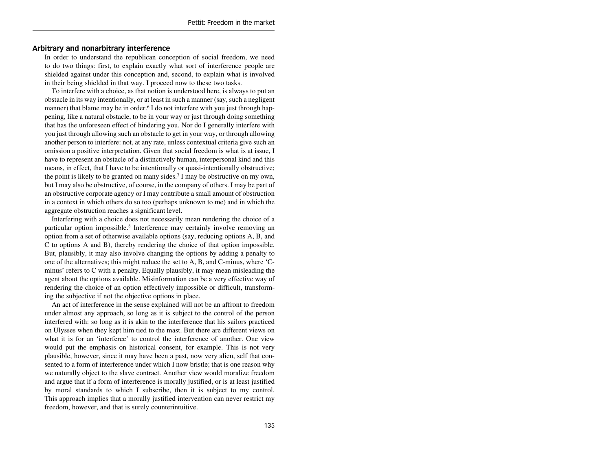#### **Arbitrary and nonarbitrary interference**

In order to understand the republican conception of social freedom, we need to do two things: first, to explain exactly what sort of interference people are shielded against under this conception and, second, to explain what is involved in their being shielded in that way. I proceed now to these two tasks.

To interfere with a choice, as that notion is understood here, is always to put an obstacle in its way intentionally, or at least in such a manner (say, such a negligent manner) that blame may be in order.<sup>6</sup> I do not interfere with you just through happening, like a natural obstacle, to be in your way or just through doing something that has the unforeseen effect of hindering you. Nor do I generally interfere with you just through allowing such an obstacle to get in your way, or through allowing another person to interfere: not, at any rate, unless contextual criteria give such an omission a positive interpretation. Given that social freedom is what is at issue, I have to represent an obstacle of a distinctively human, interpersonal kind and this means, in effect, that I have to be intentionally or quasi-intentionally obstructive; the point is likely to be granted on many sides.<sup>7</sup> I may be obstructive on my own, but I may also be obstructive, of course, in the company of others. I may be part of an obstructive corporate agency or I may contribute a small amount of obstruction in a context in which others do so too (perhaps unknown to me) and in which the aggregate obstruction reaches a significant level.

Interfering with a choice does not necessarily mean rendering the choice of a particular option impossible.8 Interference may certainly involve removing an option from a set of otherwise available options (say, reducing options A, B, and C to options A and B), thereby rendering the choice of that option impossible. But, plausibly, it may also involve changing the options by adding a penalty to one of the alternatives; this might reduce the set to A, B, and C-minus, where 'Cminus' refers to C with a penalty. Equally plausibly, it may mean misleading the agent about the options available. Misinformation can be a very effective way of rendering the choice of an option effectively impossible or difficult, transforming the subjective if not the objective options in place.

An act of interference in the sense explained will not be an affront to freedom under almost any approach, so long as it is subject to the control of the person interfered with: so long as it is akin to the interference that his sailors practiced on Ulysses when they kept him tied to the mast. But there are different views on what it is for an 'interferee' to control the interference of another. One view would put the emphasis on historical consent, for example. This is not very plausible, however, since it may have been a past, now very alien, self that consented to a form of interference under which I now bristle; that is one reason why we naturally object to the slave contract. Another view would moralize freedom and argue that if a form of interference is morally justified, or is at least justified by moral standards to which I subscribe, then it is subject to my control. This approach implies that a morally justified intervention can never restrict my freedom, however, and that is surely counterintuitive.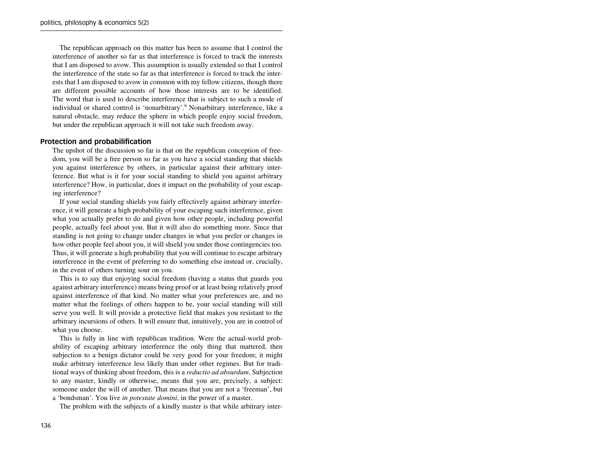The republican approach on this matter has been to assume that I control the interference of another so far as that interference is forced to track the interests that I am disposed to avow. This assumption is usually extended so that I control the interference of the state so far as that interference is forced to track the interests that I am disposed to avow in common with my fellow citizens, though there are different possible accounts of how those interests are to be identified. The word that is used to describe interference that is subject to such a mode of individual or shared control is 'nonarbitrary'.9 Nonarbitrary interference, like a natural obstacle, may reduce the sphere in which people enjoy social freedom, but under the republican approach it will not take such freedom away.

#### **Protection and probabilification**

The upshot of the discussion so far is that on the republican conception of freedom, you will be a free person so far as you have a social standing that shields you against interference by others, in particular against their arbitrary interference. But what is it for your social standing to shield you against arbitrary interference? How, in particular, does it impact on the probability of your escaping interference?

If your social standing shields you fairly effectively against arbitrary interference, it will generate a high probability of your escaping such interference, given what you actually prefer to do and given how other people, including powerful people, actually feel about you. But it will also do something more. Since that standing is not going to change under changes in what you prefer or changes in how other people feel about you, it will shield you under those contingencies too. Thus, it will generate a high probability that you will continue to escape arbitrary interference in the event of preferring to do something else instead or, crucially, in the event of others turning sour on you.

This is to say that enjoying social freedom (having a status that guards you against arbitrary interference) means being proof or at least being relatively proof against interference of that kind. No matter what your preferences are, and no matter what the feelings of others happen to be, your social standing will still serve you well. It will provide a protective field that makes you resistant to the arbitrary incursions of others. It will ensure that, intuitively, you are in control of what you choose.

This is fully in line with republican tradition. Were the actual-world probability of escaping arbitrary interference the only thing that mattered, then subjection to a benign dictator could be very good for your freedom; it might make arbitrary interference less likely than under other regimes. But for traditional ways of thinking about freedom, this is a *reductio ad absurdum*. Subjection to any master, kindly or otherwise, means that you are, precisely, a subject: someone under the will of another. That means that you are not a 'freeman', but a 'bondsman'. You live *in potestate domini*, in the power of a master.

The problem with the subjects of a kindly master is that while arbitrary inter-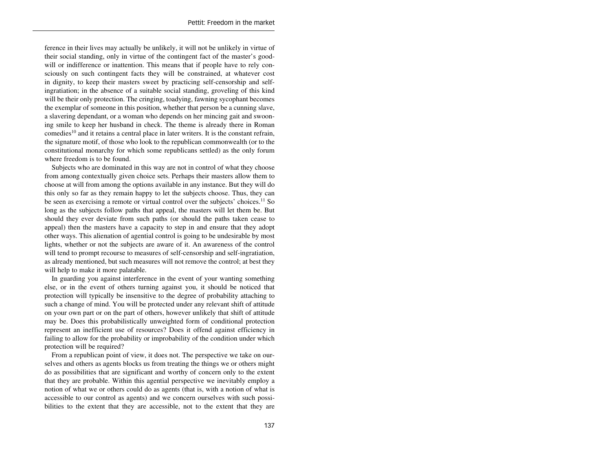ference in their lives may actually be unlikely, it will not be unlikely in virtue of their social standing, only in virtue of the contingent fact of the master's goodwill or indifference or inattention. This means that if people have to rely consciously on such contingent facts they will be constrained, at whatever cost in dignity, to keep their masters sweet by practicing self-censorship and selfingratiation; in the absence of a suitable social standing, groveling of this kind will be their only protection. The cringing, toadying, fawning sycophant becomes the exemplar of someone in this position, whether that person be a cunning slave, a slavering dependant, or a woman who depends on her mincing gait and swooning smile to keep her husband in check. The theme is already there in Roman comedies<sup>10</sup> and it retains a central place in later writers. It is the constant refrain, the signature motif, of those who look to the republican commonwealth (or to the constitutional monarchy for which some republicans settled) as the only forum where freedom is to be found.

Subjects who are dominated in this way are not in control of what they choose from among contextually given choice sets. Perhaps their masters allow them to choose at will from among the options available in any instance. But they will do this only so far as they remain happy to let the subjects choose. Thus, they can be seen as exercising a remote or virtual control over the subjects' choices.11 So long as the subjects follow paths that appeal, the masters will let them be. But should they ever deviate from such paths (or should the paths taken cease to appeal) then the masters have a capacity to step in and ensure that they adopt other ways. This alienation of agential control is going to be undesirable by most lights, whether or not the subjects are aware of it. An awareness of the control will tend to prompt recourse to measures of self-censorship and self-ingratiation, as already mentioned, but such measures will not remove the control; at best they will help to make it more palatable.

In guarding you against interference in the event of your wanting something else, or in the event of others turning against you, it should be noticed that protection will typically be insensitive to the degree of probability attaching to such a change of mind. You will be protected under any relevant shift of attitude on your own part or on the part of others, however unlikely that shift of attitude may be. Does this probabilistically unweighted form of conditional protection represent an inefficient use of resources? Does it offend against efficiency in failing to allow for the probability or improbability of the condition under which protection will be required?

From a republican point of view, it does not. The perspective we take on ourselves and others as agents blocks us from treating the things we or others might do as possibilities that are significant and worthy of concern only to the extent that they are probable. Within this agential perspective we inevitably employ a notion of what we or others could do as agents (that is, with a notion of what is accessible to our control as agents) and we concern ourselves with such possibilities to the extent that they are accessible, not to the extent that they are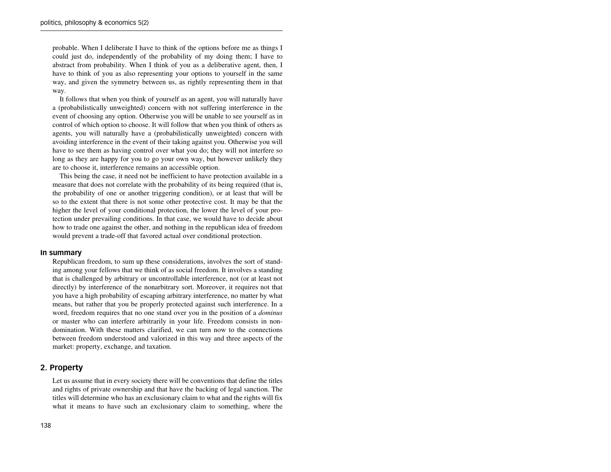probable. When I deliberate I have to think of the options before me as things I could just do, independently of the probability of my doing them; I have to abstract from probability. When I think of you as a deliberative agent, then, I have to think of you as also representing your options to yourself in the same way, and given the symmetry between us, as rightly representing them in that way.

It follows that when you think of yourself as an agent, you will naturally have a (probabilistically unweighted) concern with not suffering interference in the event of choosing any option. Otherwise you will be unable to see yourself as in control of which option to choose. It will follow that when you think of others as agents, you will naturally have a (probabilistically unweighted) concern with avoiding interference in the event of their taking against you. Otherwise you will have to see them as having control over what you do; they will not interfere so long as they are happy for you to go your own way, but however unlikely they are to choose it, interference remains an accessible option.

This being the case, it need not be inefficient to have protection available in a measure that does not correlate with the probability of its being required (that is, the probability of one or another triggering condition), or at least that will be so to the extent that there is not some other protective cost. It may be that the higher the level of your conditional protection, the lower the level of your protection under prevailing conditions. In that case, we would have to decide about how to trade one against the other, and nothing in the republican idea of freedom would prevent a trade-off that favored actual over conditional protection.

#### **In summary**

Republican freedom, to sum up these considerations, involves the sort of standing among your fellows that we think of as social freedom. It involves a standing that is challenged by arbitrary or uncontrollable interference, not (or at least not directly) by interference of the nonarbitrary sort. Moreover, it requires not that you have a high probability of escaping arbitrary interference, no matter by what means, but rather that you be properly protected against such interference. In a word, freedom requires that no one stand over you in the position of a *dominus* or master who can interfere arbitrarily in your life. Freedom consists in nondomination. With these matters clarified, we can turn now to the connections between freedom understood and valorized in this way and three aspects of the market: property, exchange, and taxation.

## **2. Property**

Let us assume that in every society there will be conventions that define the titles and rights of private ownership and that have the backing of legal sanction. The titles will determine who has an exclusionary claim to what and the rights will fix what it means to have such an exclusionary claim to something, where the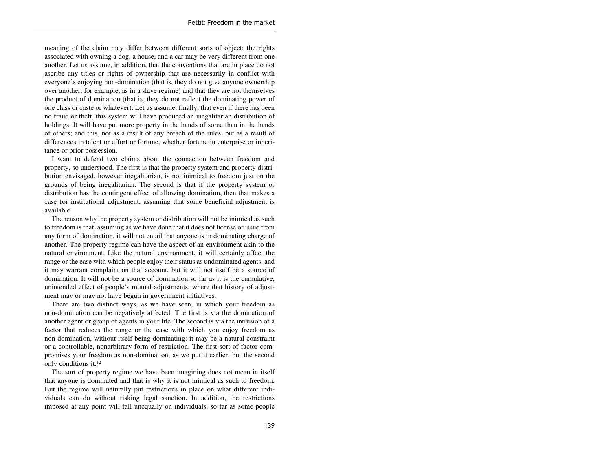meaning of the claim may differ between different sorts of object: the rights associated with owning a dog, a house, and a car may be very different from one another. Let us assume, in addition, that the conventions that are in place do not ascribe any titles or rights of ownership that are necessarily in conflict with everyone's enjoying non-domination (that is, they do not give anyone ownership over another, for example, as in a slave regime) and that they are not themselves the product of domination (that is, they do not reflect the dominating power of one class or caste or whatever). Let us assume, finally, that even if there has been no fraud or theft, this system will have produced an inegalitarian distribution of holdings. It will have put more property in the hands of some than in the hands of others; and this, not as a result of any breach of the rules, but as a result of differences in talent or effort or fortune, whether fortune in enterprise or inheritance or prior possession.

I want to defend two claims about the connection between freedom and property, so understood. The first is that the property system and property distribution envisaged, however inegalitarian, is not inimical to freedom just on the grounds of being inegalitarian. The second is that if the property system or distribution has the contingent effect of allowing domination, then that makes a case for institutional adjustment, assuming that some beneficial adjustment is available.

The reason why the property system or distribution will not be inimical as such to freedom is that, assuming as we have done that it does not license or issue from any form of domination, it will not entail that anyone is in dominating charge of another. The property regime can have the aspect of an environment akin to the natural environment. Like the natural environment, it will certainly affect the range or the ease with which people enjoy their status as undominated agents, and it may warrant complaint on that account, but it will not itself be a source of domination. It will not be a source of domination so far as it is the cumulative, unintended effect of people's mutual adjustments, where that history of adjustment may or may not have begun in government initiatives.

There are two distinct ways, as we have seen, in which your freedom as non-domination can be negatively affected. The first is via the domination of another agent or group of agents in your life. The second is via the intrusion of a factor that reduces the range or the ease with which you enjoy freedom as non-domination, without itself being dominating: it may be a natural constraint or a controllable, nonarbitrary form of restriction. The first sort of factor compromises your freedom as non-domination, as we put it earlier, but the second only conditions it.<sup>12</sup>

The sort of property regime we have been imagining does not mean in itself that anyone is dominated and that is why it is not inimical as such to freedom. But the regime will naturally put restrictions in place on what different individuals can do without risking legal sanction. In addition, the restrictions imposed at any point will fall unequally on individuals, so far as some people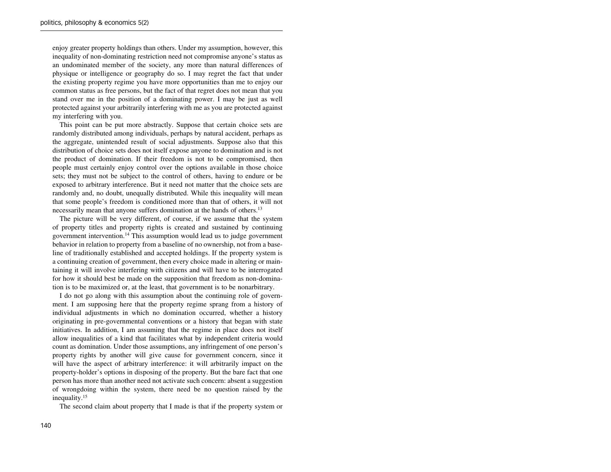enjoy greater property holdings than others. Under my assumption, however, this inequality of non-dominating restriction need not compromise anyone's status as an undominated member of the society, any more than natural differences of physique or intelligence or geography do so. I may regret the fact that under the existing property regime you have more opportunities than me to enjoy our common status as free persons, but the fact of that regret does not mean that you stand over me in the position of a dominating power. I may be just as well protected against your arbitrarily interfering with me as you are protected against my interfering with you.

This point can be put more abstractly. Suppose that certain choice sets are randomly distributed among individuals, perhaps by natural accident, perhaps as the aggregate, unintended result of social adjustments. Suppose also that this distribution of choice sets does not itself expose anyone to domination and is not the product of domination. If their freedom is not to be compromised, then people must certainly enjoy control over the options available in those choice sets; they must not be subject to the control of others, having to endure or be exposed to arbitrary interference. But it need not matter that the choice sets are randomly and, no doubt, unequally distributed. While this inequality will mean that some people's freedom is conditioned more than that of others, it will not necessarily mean that anyone suffers domination at the hands of others.<sup>13</sup>

The picture will be very different, of course, if we assume that the system of property titles and property rights is created and sustained by continuing government intervention.14 This assumption would lead us to judge government behavior in relation to property from a baseline of no ownership, not from a baseline of traditionally established and accepted holdings. If the property system is a continuing creation of government, then every choice made in altering or maintaining it will involve interfering with citizens and will have to be interrogated for how it should best be made on the supposition that freedom as non-domination is to be maximized or, at the least, that government is to be nonarbitrary.

I do not go along with this assumption about the continuing role of government. I am supposing here that the property regime sprang from a history of individual adjustments in which no domination occurred, whether a history originating in pre-governmental conventions or a history that began with state initiatives. In addition, I am assuming that the regime in place does not itself allow inequalities of a kind that facilitates what by independent criteria would count as domination. Under those assumptions, any infringement of one person's property rights by another will give cause for government concern, since it will have the aspect of arbitrary interference: it will arbitrarily impact on the property-holder's options in disposing of the property. But the bare fact that one person has more than another need not activate such concern: absent a suggestion of wrongdoing within the system, there need be no question raised by the inequality.15

The second claim about property that I made is that if the property system or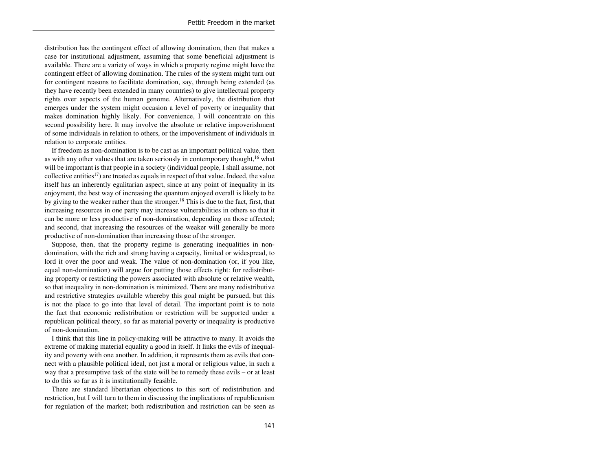distribution has the contingent effect of allowing domination, then that makes a case for institutional adjustment, assuming that some beneficial adjustment is available. There are a variety of ways in which a property regime might have the contingent effect of allowing domination. The rules of the system might turn out for contingent reasons to facilitate domination, say, through being extended (as they have recently been extended in many countries) to give intellectual property rights over aspects of the human genome. Alternatively, the distribution that emerges under the system might occasion a level of poverty or inequality that makes domination highly likely. For convenience, I will concentrate on this second possibility here. It may involve the absolute or relative impoverishment of some individuals in relation to others, or the impoverishment of individuals in relation to corporate entities.

If freedom as non-domination is to be cast as an important political value, then as with any other values that are taken seriously in contemporary thought, $16$  what will be important is that people in a society (individual people, I shall assume, not collective entities<sup>17</sup>) are treated as equals in respect of that value. Indeed, the value itself has an inherently egalitarian aspect, since at any point of inequality in its enjoyment, the best way of increasing the quantum enjoyed overall is likely to be by giving to the weaker rather than the stronger.<sup>18</sup> This is due to the fact, first, that increasing resources in one party may increase vulnerabilities in others so that it can be more or less productive of non-domination, depending on those affected; and second, that increasing the resources of the weaker will generally be more productive of non-domination than increasing those of the stronger.

Suppose, then, that the property regime is generating inequalities in nondomination, with the rich and strong having a capacity, limited or widespread, to lord it over the poor and weak. The value of non-domination (or, if you like, equal non-domination) will argue for putting those effects right: for redistributing property or restricting the powers associated with absolute or relative wealth, so that inequality in non-domination is minimized. There are many redistributive and restrictive strategies available whereby this goal might be pursued, but this is not the place to go into that level of detail. The important point is to note the fact that economic redistribution or restriction will be supported under a republican political theory, so far as material poverty or inequality is productive of non-domination.

I think that this line in policy-making will be attractive to many. It avoids the extreme of making material equality a good in itself. It links the evils of inequality and poverty with one another. In addition, it represents them as evils that connect with a plausible political ideal, not just a moral or religious value, in such a way that a presumptive task of the state will be to remedy these evils – or at least to do this so far as it is institutionally feasible.

There are standard libertarian objections to this sort of redistribution and restriction, but I will turn to them in discussing the implications of republicanism for regulation of the market; both redistribution and restriction can be seen as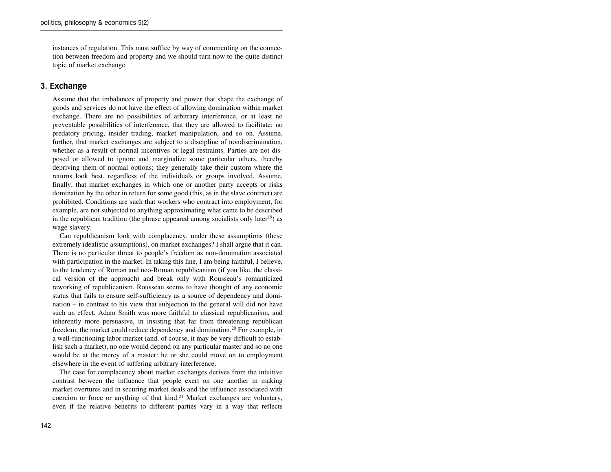instances of regulation. This must suffice by way of commenting on the connection between freedom and property and we should turn now to the quite distinct topic of market exchange.

## **3. Exchange**

Assume that the imbalances of property and power that shape the exchange of goods and services do not have the effect of allowing domination within market exchange. There are no possibilities of arbitrary interference, or at least no preventable possibilities of interference, that they are allowed to facilitate: no predatory pricing, insider trading, market manipulation, and so on. Assume, further, that market exchanges are subject to a discipline of nondiscrimination, whether as a result of normal incentives or legal restraints. Parties are not disposed or allowed to ignore and marginalize some particular others, thereby depriving them of normal options; they generally take their custom where the returns look best, regardless of the individuals or groups involved. Assume, finally, that market exchanges in which one or another party accepts or risks domination by the other in return for some good (this, as in the slave contract) are prohibited. Conditions are such that workers who contract into employment, for example, are not subjected to anything approximating what came to be described in the republican tradition (the phrase appeared among socialists only later<sup>19</sup>) as wage slavery.

Can republicanism look with complacency, under these assumptions (these extremely idealistic assumptions), on market exchanges? I shall argue that it can. There is no particular threat to people's freedom as non-domination associated with participation in the market. In taking this line, I am being faithful, I believe, to the tendency of Roman and neo-Roman republicanism (if you like, the classical version of the approach) and break only with Rousseau's romanticized reworking of republicanism. Rousseau seems to have thought of any economic status that fails to ensure self-sufficiency as a source of dependency and domination – in contrast to his view that subjection to the general will did not have such an effect. Adam Smith was more faithful to classical republicanism, and inherently more persuasive, in insisting that far from threatening republican freedom, the market could reduce dependency and domination.20 For example, in a well-functioning labor market (and, of course, it may be very difficult to establish such a market), no one would depend on any particular master and so no one would be at the mercy of a master: he or she could move on to employment elsewhere in the event of suffering arbitrary interference.

The case for complacency about market exchanges derives from the intuitive contrast between the influence that people exert on one another in making market overtures and in securing market deals and the influence associated with coercion or force or anything of that kind.<sup>21</sup> Market exchanges are voluntary, even if the relative benefits to different parties vary in a way that reflects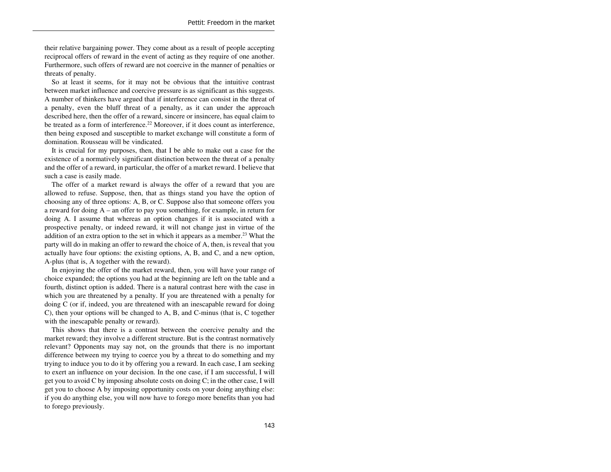their relative bargaining power. They come about as a result of people accepting reciprocal offers of reward in the event of acting as they require of one another. Furthermore, such offers of reward are not coercive in the manner of penalties or threats of penalty.

So at least it seems, for it may not be obvious that the intuitive contrast between market influence and coercive pressure is as significant as this suggests. A number of thinkers have argued that if interference can consist in the threat of a penalty, even the bluff threat of a penalty, as it can under the approach described here, then the offer of a reward, sincere or insincere, has equal claim to be treated as a form of interference.<sup>22</sup> Moreover, if it does count as interference, then being exposed and susceptible to market exchange will constitute a form of domination. Rousseau will be vindicated.

It is crucial for my purposes, then, that I be able to make out a case for the existence of a normatively significant distinction between the threat of a penalty and the offer of a reward, in particular, the offer of a market reward. I believe that such a case is easily made.

The offer of a market reward is always the offer of a reward that you are allowed to refuse. Suppose, then, that as things stand you have the option of choosing any of three options: A, B, or C. Suppose also that someone offers you a reward for doing A – an offer to pay you something, for example, in return for doing A. I assume that whereas an option changes if it is associated with a prospective penalty, or indeed reward, it will not change just in virtue of the addition of an extra option to the set in which it appears as a member.<sup>23</sup> What the party will do in making an offer to reward the choice of A, then, is reveal that you actually have four options: the existing options, A, B, and C, and a new option, A-plus (that is, A together with the reward).

In enjoying the offer of the market reward, then, you will have your range of choice expanded; the options you had at the beginning are left on the table and a fourth, distinct option is added. There is a natural contrast here with the case in which you are threatened by a penalty. If you are threatened with a penalty for doing C (or if, indeed, you are threatened with an inescapable reward for doing C), then your options will be changed to A, B, and C-minus (that is, C together with the inescapable penalty or reward).

This shows that there is a contrast between the coercive penalty and the market reward; they involve a different structure. But is the contrast normatively relevant? Opponents may say not, on the grounds that there is no important difference between my trying to coerce you by a threat to do something and my trying to induce you to do it by offering you a reward. In each case, I am seeking to exert an influence on your decision. In the one case, if I am successful, I will get you to avoid  $C$  by imposing absolute costs on doing  $C$ ; in the other case, I will get you to choose A by imposing opportunity costs on your doing anything else: if you do anything else, you will now have to forego more benefits than you had to forego previously.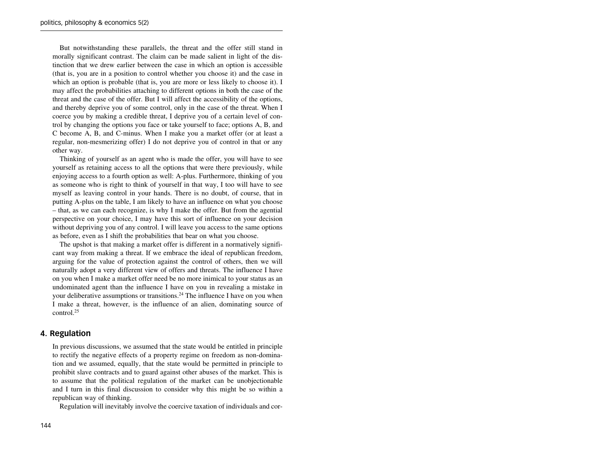But notwithstanding these parallels, the threat and the offer still stand in morally significant contrast. The claim can be made salient in light of the distinction that we drew earlier between the case in which an option is accessible (that is, you are in a position to control whether you choose it) and the case in which an option is probable (that is, you are more or less likely to choose it). I may affect the probabilities attaching to different options in both the case of the threat and the case of the offer. But I will affect the accessibility of the options, and thereby deprive you of some control, only in the case of the threat. When I coerce you by making a credible threat, I deprive you of a certain level of control by changing the options you face or take yourself to face; options A, B, and C become A, B, and C-minus. When I make you a market offer (or at least a regular, non-mesmerizing offer) I do not deprive you of control in that or any other way.

Thinking of yourself as an agent who is made the offer, you will have to see yourself as retaining access to all the options that were there previously, while enjoying access to a fourth option as well: A-plus. Furthermore, thinking of you as someone who is right to think of yourself in that way, I too will have to see myself as leaving control in your hands. There is no doubt, of course, that in putting A-plus on the table, I am likely to have an influence on what you choose – that, as we can each recognize, is why I make the offer. But from the agential perspective on your choice, I may have this sort of influence on your decision without depriving you of any control. I will leave you access to the same options as before, even as I shift the probabilities that bear on what you choose.

The upshot is that making a market offer is different in a normatively significant way from making a threat. If we embrace the ideal of republican freedom, arguing for the value of protection against the control of others, then we will naturally adopt a very different view of offers and threats. The influence I have on you when I make a market offer need be no more inimical to your status as an undominated agent than the influence I have on you in revealing a mistake in your deliberative assumptions or transitions.<sup>24</sup> The influence I have on you when I make a threat, however, is the influence of an alien, dominating source of control.25

## **4. Regulation**

In previous discussions, we assumed that the state would be entitled in principle to rectify the negative effects of a property regime on freedom as non-domination and we assumed, equally, that the state would be permitted in principle to prohibit slave contracts and to guard against other abuses of the market. This is to assume that the political regulation of the market can be unobjectionable and I turn in this final discussion to consider why this might be so within a republican way of thinking.

Regulation will inevitably involve the coercive taxation of individuals and cor-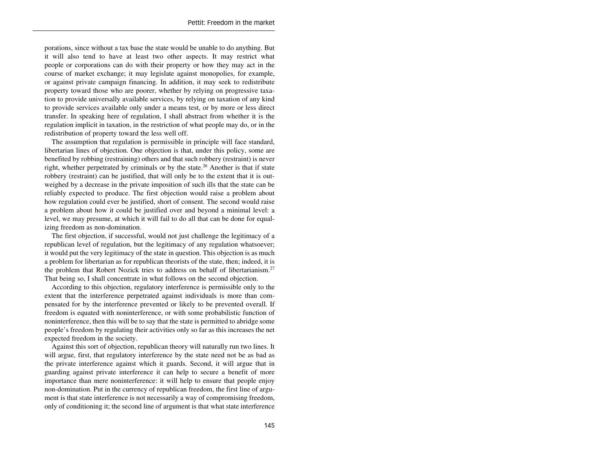porations, since without a tax base the state would be unable to do anything. But it will also tend to have at least two other aspects. It may restrict what people or corporations can do with their property or how they may act in the course of market exchange; it may legislate against monopolies, for example, or against private campaign financing. In addition, it may seek to redistribute property toward those who are poorer, whether by relying on progressive taxation to provide universally available services, by relying on taxation of any kind to provide services available only under a means test, or by more or less direct transfer. In speaking here of regulation, I shall abstract from whether it is the regulation implicit in taxation, in the restriction of what people may do, or in the redistribution of property toward the less well off.

The assumption that regulation is permissible in principle will face standard, libertarian lines of objection. One objection is that, under this policy, some are benefited by robbing (restraining) others and that such robbery (restraint) is never right, whether perpetrated by criminals or by the state.<sup>26</sup> Another is that if state robbery (restraint) can be justified, that will only be to the extent that it is outweighed by a decrease in the private imposition of such ills that the state can be reliably expected to produce. The first objection would raise a problem about how regulation could ever be justified, short of consent. The second would raise a problem about how it could be justified over and beyond a minimal level: a level, we may presume, at which it will fail to do all that can be done for equalizing freedom as non-domination.

The first objection, if successful, would not just challenge the legitimacy of a republican level of regulation, but the legitimacy of any regulation whatsoever; it would put the very legitimacy of the state in question. This objection is as much a problem for libertarian as for republican theorists of the state, then; indeed, it is the problem that Robert Nozick tries to address on behalf of libertarianism.<sup>27</sup> That being so, I shall concentrate in what follows on the second objection.

According to this objection, regulatory interference is permissible only to the extent that the interference perpetrated against individuals is more than compensated for by the interference prevented or likely to be prevented overall. If freedom is equated with noninterference, or with some probabilistic function of noninterference, then this will be to say that the state is permitted to abridge some people's freedom by regulating their activities only so far as this increases the net expected freedom in the society.

Against this sort of objection, republican theory will naturally run two lines. It will argue, first, that regulatory interference by the state need not be as bad as the private interference against which it guards. Second, it will argue that in guarding against private interference it can help to secure a benefit of more importance than mere noninterference: it will help to ensure that people enjoy non-domination. Put in the currency of republican freedom, the first line of argument is that state interference is not necessarily a way of compromising freedom, only of conditioning it; the second line of argument is that what state interference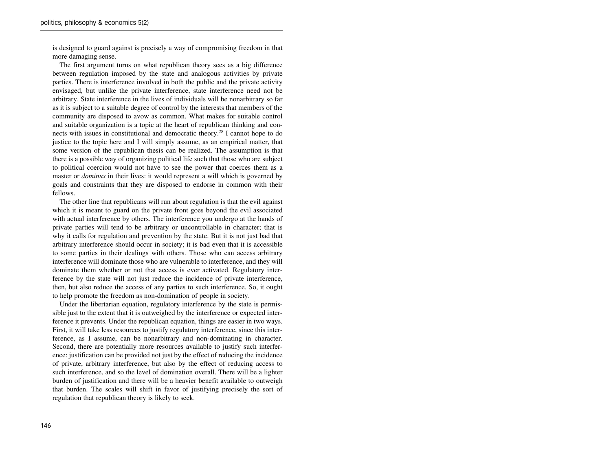is designed to guard against is precisely a way of compromising freedom in that more damaging sense.

The first argument turns on what republican theory sees as a big difference between regulation imposed by the state and analogous activities by private parties. There is interference involved in both the public and the private activity envisaged, but unlike the private interference, state interference need not be arbitrary. State interference in the lives of individuals will be nonarbitrary so far as it is subject to a suitable degree of control by the interests that members of the community are disposed to avow as common. What makes for suitable control and suitable organization is a topic at the heart of republican thinking and connects with issues in constitutional and democratic theory.28 I cannot hope to do justice to the topic here and I will simply assume, as an empirical matter, that some version of the republican thesis can be realized. The assumption is that there is a possible way of organizing political life such that those who are subject to political coercion would not have to see the power that coerces them as a master or *dominus* in their lives: it would represent a will which is governed by goals and constraints that they are disposed to endorse in common with their fellows.

The other line that republicans will run about regulation is that the evil against which it is meant to guard on the private front goes beyond the evil associated with actual interference by others. The interference you undergo at the hands of private parties will tend to be arbitrary or uncontrollable in character; that is why it calls for regulation and prevention by the state. But it is not just bad that arbitrary interference should occur in society; it is bad even that it is accessible to some parties in their dealings with others. Those who can access arbitrary interference will dominate those who are vulnerable to interference, and they will dominate them whether or not that access is ever activated. Regulatory interference by the state will not just reduce the incidence of private interference, then, but also reduce the access of any parties to such interference. So, it ought to help promote the freedom as non-domination of people in society.

Under the libertarian equation, regulatory interference by the state is permissible just to the extent that it is outweighed by the interference or expected interference it prevents. Under the republican equation, things are easier in two ways. First, it will take less resources to justify regulatory interference, since this interference, as I assume, can be nonarbitrary and non-dominating in character. Second, there are potentially more resources available to justify such interference: justification can be provided not just by the effect of reducing the incidence of private, arbitrary interference, but also by the effect of reducing access to such interference, and so the level of domination overall. There will be a lighter burden of justification and there will be a heavier benefit available to outweigh that burden. The scales will shift in favor of justifying precisely the sort of regulation that republican theory is likely to seek.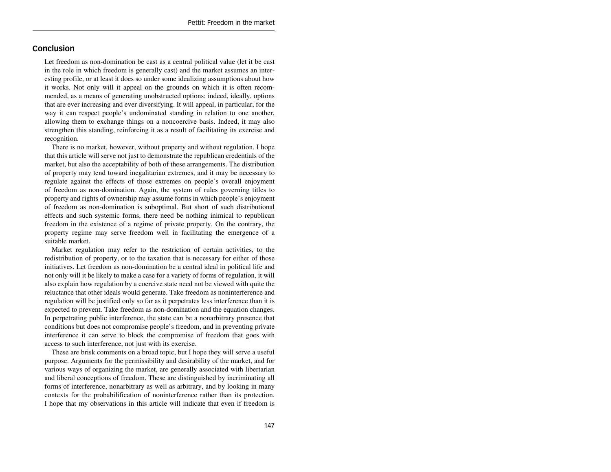## **Conclusion**

Let freedom as non-domination be cast as a central political value (let it be cast in the role in which freedom is generally cast) and the market assumes an interesting profile, or at least it does so under some idealizing assumptions about how it works. Not only will it appeal on the grounds on which it is often recommended, as a means of generating unobstructed options: indeed, ideally, options that are ever increasing and ever diversifying. It will appeal, in particular, for the way it can respect people's undominated standing in relation to one another, allowing them to exchange things on a noncoercive basis. Indeed, it may also strengthen this standing, reinforcing it as a result of facilitating its exercise and recognition.

There is no market, however, without property and without regulation. I hope that this article will serve not just to demonstrate the republican credentials of the market, but also the acceptability of both of these arrangements. The distribution of property may tend toward inegalitarian extremes, and it may be necessary to regulate against the effects of those extremes on people's overall enjoyment of freedom as non-domination. Again, the system of rules governing titles to property and rights of ownership may assume forms in which people's enjoyment of freedom as non-domination is suboptimal. But short of such distributional effects and such systemic forms, there need be nothing inimical to republican freedom in the existence of a regime of private property. On the contrary, the property regime may serve freedom well in facilitating the emergence of a suitable market.

Market regulation may refer to the restriction of certain activities, to the redistribution of property, or to the taxation that is necessary for either of those initiatives. Let freedom as non-domination be a central ideal in political life and not only will it be likely to make a case for a variety of forms of regulation, it will also explain how regulation by a coercive state need not be viewed with quite the reluctance that other ideals would generate. Take freedom as noninterference and regulation will be justified only so far as it perpetrates less interference than it is expected to prevent. Take freedom as non-domination and the equation changes. In perpetrating public interference, the state can be a nonarbitrary presence that conditions but does not compromise people's freedom, and in preventing private interference it can serve to block the compromise of freedom that goes with access to such interference, not just with its exercise.

These are brisk comments on a broad topic, but I hope they will serve a useful purpose. Arguments for the permissibility and desirability of the market, and for various ways of organizing the market, are generally associated with libertarian and liberal conceptions of freedom. These are distinguished by incriminating all forms of interference, nonarbitrary as well as arbitrary, and by looking in many contexts for the probabilification of noninterference rather than its protection. I hope that my observations in this article will indicate that even if freedom is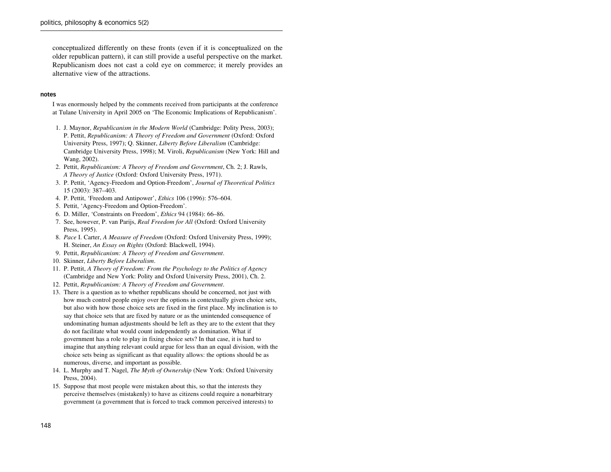conceptualized differently on these fronts (even if it is conceptualized on the older republican pattern), it can still provide a useful perspective on the market. Republicanism does not cast a cold eye on commerce; it merely provides an alternative view of the attractions.

#### **notes**

I was enormously helped by the comments received from participants at the conference at Tulane University in April 2005 on 'The Economic Implications of Republicanism'.

- 1. J. Maynor, *Republicanism in the Modern World* (Cambridge: Polity Press, 2003); P. Pettit, *Republicanism: A Theory of Freedom and Government* (Oxford: Oxford University Press, 1997); Q. Skinner, *Liberty Before Liberalism* (Cambridge: Cambridge University Press, 1998); M. Viroli, *Republicanism* (New York: Hill and Wang, 2002).
- 2. Pettit, *Republicanism: A Theory of Freedom and Government*, Ch. 2; J. Rawls, *A Theory of Justice* (Oxford: Oxford University Press, 1971).
- 3. P. Pettit, 'Agency-Freedom and Option-Freedom', *Journal of Theoretical Politics* 15 (2003): 387–403.
- 4. P. Pettit, 'Freedom and Antipower', *Ethics* 106 (1996): 576–604.
- 5. Pettit, 'Agency-Freedom and Option-Freedom'.
- 6. D. Miller, 'Constraints on Freedom', *Ethics* 94 (1984): 66–86.
- 7. See, however, P. van Parijs, *Real Freedom for All* (Oxford: Oxford University Press, 1995).
- 8. *Pace* I. Carter, *A Measure of Freedom* (Oxford: Oxford University Press, 1999); H. Steiner, *An Essay on Rights* (Oxford: Blackwell, 1994).
- 9. Pettit, *Republicanism: A Theory of Freedom and Government*.
- 10. Skinner, *Liberty Before Liberalism*.
- 11. P. Pettit, *A Theory of Freedom: From the Psychology to the Politics of Agency* (Cambridge and New York: Polity and Oxford University Press, 2001), Ch. 2.
- 12. Pettit, *Republicanism: A Theory of Freedom and Government*.
- 13. There is a question as to whether republicans should be concerned, not just with how much control people enjoy over the options in contextually given choice sets, but also with how those choice sets are fixed in the first place. My inclination is to say that choice sets that are fixed by nature or as the unintended consequence of undominating human adjustments should be left as they are to the extent that they do not facilitate what would count independently as domination. What if government has a role to play in fixing choice sets? In that case, it is hard to imagine that anything relevant could argue for less than an equal division, with the choice sets being as significant as that equality allows: the options should be as numerous, diverse, and important as possible.
- 14. L. Murphy and T. Nagel, *The Myth of Ownership* (New York: Oxford University Press, 2004).
- 15. Suppose that most people were mistaken about this, so that the interests they perceive themselves (mistakenly) to have as citizens could require a nonarbitrary government (a government that is forced to track common perceived interests) to